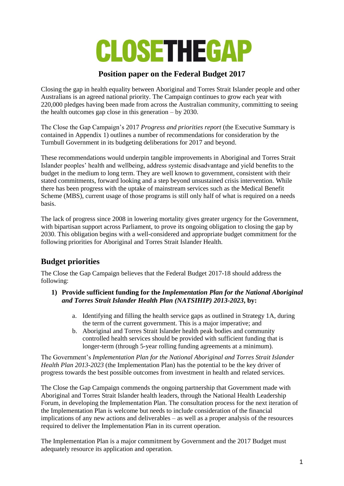

# **Position paper on the Federal Budget 2017**

Closing the gap in health equality between Aboriginal and Torres Strait Islander people and other Australians is an agreed national priority. The Campaign continues to grow each year with 220,000 pledges having been made from across the Australian community, committing to seeing the health outcomes gap close in this generation – by 2030.

The Close the Gap Campaign's 2017 *Progress and priorities report* (the Executive Summary is contained in Appendix 1) outlines a number of recommendations for consideration by the Turnbull Government in its budgeting deliberations for 2017 and beyond.

These recommendations would underpin tangible improvements in Aboriginal and Torres Strait Islander peoples' health and wellbeing, address systemic disadvantage and yield benefits to the budget in the medium to long term. They are well known to government, consistent with their stated commitments, forward looking and a step beyond unsustained crisis intervention. While there has been progress with the uptake of mainstream services such as the Medical Benefit Scheme (MBS), current usage of those programs is still only half of what is required on a needs basis.

The lack of progress since 2008 in lowering mortality gives greater urgency for the Government, with bipartisan support across Parliament, to prove its ongoing obligation to closing the gap by 2030. This obligation begins with a well-considered and appropriate budget commitment for the following priorities for Aboriginal and Torres Strait Islander Health.

# **Budget priorities**

The Close the Gap Campaign believes that the Federal Budget 2017-18 should address the following:

- **1) Provide sufficient funding for the** *Implementation Plan for the National Aboriginal and Torres Strait Islander Health Plan (NATSIHIP) 2013-2023***, by:**
	- a. Identifying and filling the health service gaps as outlined in Strategy 1A, during the term of the current government. This is a major imperative; and
	- b. Aboriginal and Torres Strait Islander health peak bodies and community controlled health services should be provided with sufficient funding that is longer-term (through 5-year rolling funding agreements at a minimum).

The Government's *Implementation Plan for the National Aboriginal and Torres Strait Islander Health Plan 2013-2023* (the Implementation Plan) has the potential to be the key driver of progress towards the best possible outcomes from investment in health and related services.

The Close the Gap Campaign commends the ongoing partnership that Government made with Aboriginal and Torres Strait Islander health leaders, through the National Health Leadership Forum, in developing the Implementation Plan. The consultation process for the next iteration of the Implementation Plan is welcome but needs to include consideration of the financial implications of any new actions and deliverables – as well as a proper analysis of the resources required to deliver the Implementation Plan in its current operation.

The Implementation Plan is a major commitment by Government and the 2017 Budget must adequately resource its application and operation.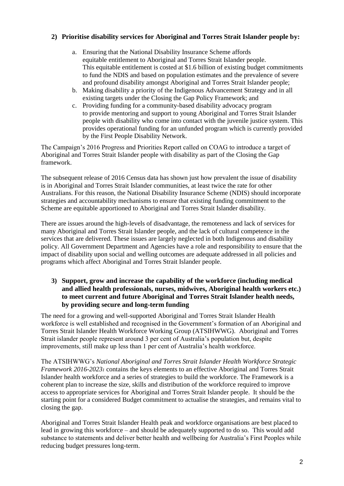### **2) Prioritise disability services for Aboriginal and Torres Strait Islander people by:**

- a. Ensuring that the National Disability Insurance Scheme affords equitable entitlement to Aboriginal and Torres Strait Islander people. This equitable entitlement is costed at \$1.6 billion of existing budget commitments to fund the NDIS and based on population estimates and the prevalence of severe and profound disability amongst Aboriginal and Torres Strait Islander people;
- b. Making disability a priority of the Indigenous Advancement Strategy and in all existing targets under the Closing the Gap Policy Framework; and
- c. Providing funding for a community-based disability advocacy program to provide mentoring and support to young Aboriginal and Torres Strait Islander people with disability who come into contact with the juvenile justice system. This provides operational funding for an unfunded program which is currently provided by the First People Disability Network.

The Campaign's 2016 Progress and Priorities Report called on COAG to introduce a target of Aboriginal and Torres Strait Islander people with disability as part of the Closing the Gap framework.

The subsequent release of 2016 Census data has shown just how prevalent the issue of disability is in Aboriginal and Torres Strait Islander communities, at least twice the rate for other Australians. For this reason, the National Disability Insurance Scheme (NDIS) should incorporate strategies and accountability mechanisms to ensure that existing funding commitment to the Scheme are equitable apportioned to Aboriginal and Torres Strait Islander disability.

There are issues around the high-levels of disadvantage, the remoteness and lack of services for many Aboriginal and Torres Strait Islander people, and the lack of cultural competence in the services that are delivered. These issues are largely neglected in both Indigenous and disability policy. All Government Department and Agencies have a role and responsibility to ensure that the impact of disability upon social and welling outcomes are adequate addressed in all policies and programs which affect Aboriginal and Torres Strait Islander people.

#### **3) Support, grow and increase the capability of the workforce (including medical and allied health professionals, nurses, midwives, Aboriginal health workers etc.) to meet current and future Aboriginal and Torres Strait Islander health needs, by providing secure and long-term funding**

The need for a growing and well-supported Aboriginal and Torres Strait Islander Health workforce is well established and recognised in the Government's formation of an Aboriginal and Torres Strait Islander Health Workforce Working Group (ATSIHWWG). Aboriginal and Torres Strait islander people represent around 3 per cent of Australia's population but, despite improvements, still make up less than 1 per cent of Australia's health workforce.

The ATSIHWWG's *National Aboriginal and Torres Strait Islander Health Workforce Strategic Framework 2016-2023<sup>1</sup>* contains the keys elements to an effective Aboriginal and Torres Strait Islander health workforce and a series of strategies to build the workforce. The Framework is a coherent plan to increase the size, skills and distribution of the workforce required to improve access to appropriate services for Aboriginal and Torres Strait Islander people. It should be the starting point for a considered Budget commitment to actualise the strategies, and remains vital to closing the gap.

Aboriginal and Torres Strait Islander Health peak and workforce organisations are best placed to lead in growing this workforce – and should be adequately supported to do so. This would add substance to statements and deliver better health and wellbeing for Australia's First Peoples while reducing budget pressures long-term.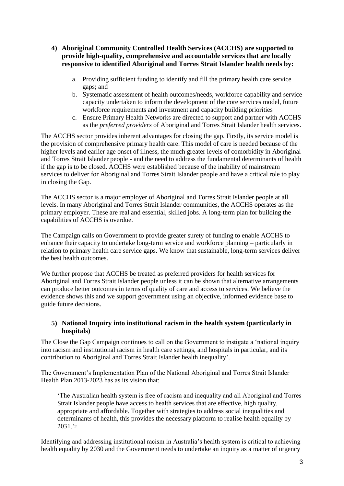- **4) Aboriginal Community Controlled Health Services (ACCHS) are supported to provide high-quality, comprehensive and accountable services that are locally responsive to identified Aboriginal and Torres Strait Islander health needs by:**
	- a. Providing sufficient funding to identify and fill the primary health care service gaps; and
	- b. Systematic assessment of health outcomes/needs, workforce capability and service capacity undertaken to inform the development of the core services model, future workforce requirements and investment and capacity building priorities
	- c. Ensure Primary Health Networks are directed to support and partner with ACCHS as the *preferred providers* of Aboriginal and Torres Strait Islander health services.

The ACCHS sector provides inherent advantages for closing the gap. Firstly, its service model is the provision of comprehensive primary health care. This model of care is needed because of the higher levels and earlier age onset of illness, the much greater levels of comorbidity in Aboriginal and Torres Strait Islander people - and the need to address the fundamental determinants of health if the gap is to be closed. ACCHS were established because of the inability of mainstream services to deliver for Aboriginal and Torres Strait Islander people and have a critical role to play in closing the Gap.

The ACCHS sector is a major employer of Aboriginal and Torres Strait Islander people at all levels. In many Aboriginal and Torres Strait Islander communities, the ACCHS operates as the primary employer. These are real and essential, skilled jobs. A long-term plan for building the capabilities of ACCHS is overdue.

The Campaign calls on Government to provide greater surety of funding to enable ACCHS to enhance their capacity to undertake long-term service and workforce planning – particularly in relation to primary health care service gaps. We know that sustainable, long-term services deliver the best health outcomes.

We further propose that ACCHS be treated as preferred providers for health services for Aboriginal and Torres Strait Islander people unless it can be shown that alternative arrangements can produce better outcomes in terms of quality of care and access to services. We believe the evidence shows this and we support government using an objective, informed evidence base to guide future decisions.

### **5) National Inquiry into institutional racism in the health system (particularly in hospitals)**

The Close the Gap Campaign continues to call on the Government to instigate a 'national inquiry into racism and institutional racism in health care settings, and hospitals in particular, and its contribution to Aboriginal and Torres Strait Islander health inequality'.

The Government's Implementation Plan of the National Aboriginal and Torres Strait Islander Health Plan 2013-2023 has as its vision that:

'The Australian health system is free of racism and inequality and all Aboriginal and Torres Strait Islander people have access to health services that are effective, high quality, appropriate and affordable. Together with strategies to address social inequalities and determinants of health, this provides the necessary platform to realise health equality by 2031.'<sup>2</sup>

Identifying and addressing institutional racism in Australia's health system is critical to achieving health equality by 2030 and the Government needs to undertake an inquiry as a matter of urgency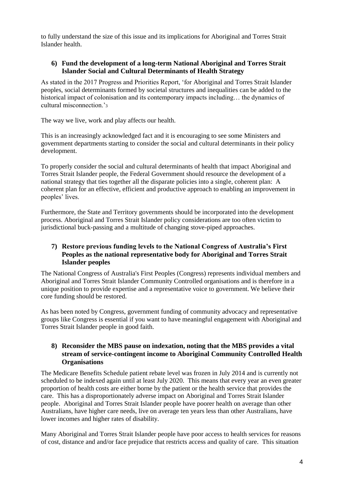to fully understand the size of this issue and its implications for Aboriginal and Torres Strait Islander health.

### **6) Fund the development of a long-term National Aboriginal and Torres Strait Islander Social and Cultural Determinants of Health Strategy**

As stated in the 2017 Progress and Priorities Report, 'for Aboriginal and Torres Strait Islander peoples, social determinants formed by societal structures and inequalities can be added to the historical impact of colonisation and its contemporary impacts including... the dynamics of cultural misconnection<sup>3</sup>

The way we live, work and play affects our health.

This is an increasingly acknowledged fact and it is encouraging to see some Ministers and government departments starting to consider the social and cultural determinants in their policy development.

To properly consider the social and cultural determinants of health that impact Aboriginal and Torres Strait Islander people, the Federal Government should resource the development of a national strategy that ties together all the disparate policies into a single, coherent plan: A coherent plan for an effective, efficient and productive approach to enabling an improvement in peoples' lives.

Furthermore, the State and Territory governments should be incorporated into the development process. Aboriginal and Torres Strait Islander policy considerations are too often victim to jurisdictional buck-passing and a multitude of changing stove-piped approaches.

### **7) Restore previous funding levels to the National Congress of Australia's First Peoples as the national representative body for Aboriginal and Torres Strait Islander peoples**

The National Congress of Australia's First Peoples (Congress) represents individual members and Aboriginal and Torres Strait Islander Community Controlled organisations and is therefore in a unique position to provide expertise and a representative voice to government. We believe their core funding should be restored.

As has been noted by Congress, government funding of community advocacy and representative groups like Congress is essential if you want to have meaningful engagement with Aboriginal and Torres Strait Islander people in good faith.

### **8) Reconsider the MBS pause on indexation, noting that the MBS provides a vital stream of service-contingent income to Aboriginal Community Controlled Health Organisations**

The Medicare Benefits Schedule patient rebate level was frozen in July 2014 and is currently not scheduled to be indexed again until at least July 2020. This means that every year an even greater proportion of health costs are either borne by the patient or the health service that provides the care. This has a disproportionately adverse impact on Aboriginal and Torres Strait Islander people. Aboriginal and Torres Strait Islander people have poorer health on average than other Australians, have higher care needs, live on average ten years less than other Australians, have lower incomes and higher rates of disability.

Many Aboriginal and Torres Strait Islander people have poor access to health services for reasons of cost, distance and and/or face prejudice that restricts access and quality of care. This situation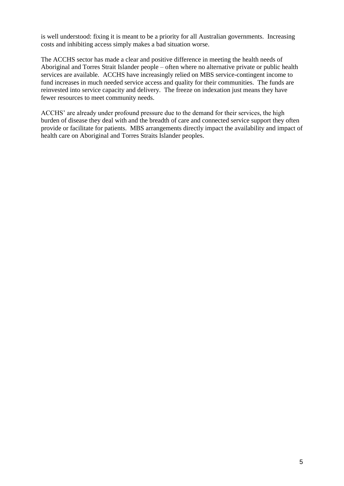is well understood: fixing it is meant to be a priority for all Australian governments. Increasing costs and inhibiting access simply makes a bad situation worse.

The ACCHS sector has made a clear and positive difference in meeting the health needs of Aboriginal and Torres Strait Islander people – often where no alternative private or public health services are available. ACCHS have increasingly relied on MBS service-contingent income to fund increases in much needed service access and quality for their communities. The funds are reinvested into service capacity and delivery. The freeze on indexation just means they have fewer resources to meet community needs.

ACCHS' are already under profound pressure due to the demand for their services, the high burden of disease they deal with and the breadth of care and connected service support they often provide or facilitate for patients. MBS arrangements directly impact the availability and impact of health care on Aboriginal and Torres Straits Islander peoples.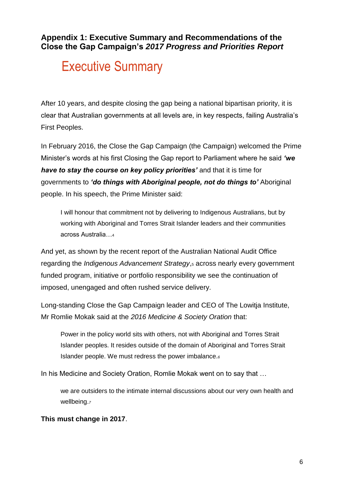**Appendix 1: Executive Summary and Recommendations of the Close the Gap Campaign's** *2017 Progress and Priorities Report*

# Executive Summary

After 10 years, and despite closing the gap being a national bipartisan priority, it is clear that Australian governments at all levels are, in key respects, failing Australia's First Peoples.

In February 2016, the Close the Gap Campaign (the Campaign) welcomed the Prime Minister's words at his first Closing the Gap report to Parliament where he said *'we have to stay the course on key policy priorities'* and that it is time for governments to *'do things with Aboriginal people, not do things to'* Aboriginal people. In his speech, the Prime Minister said:

I will honour that commitment not by delivering to Indigenous Australians, but by working with Aboriginal and Torres Strait Islander leaders and their communities across Australia…<sup>4</sup>

And yet, as shown by the recent report of the Australian National Audit Office regarding the *Indigenous Advancement Strategy*,<sup>5</sup> across nearly every government funded program, initiative or portfolio responsibility we see the continuation of imposed, unengaged and often rushed service delivery.

Long-standing Close the Gap Campaign leader and CEO of The Lowitja Institute, Mr Romlie Mokak said at the *2016 Medicine & Society Oration* that:

Power in the policy world sits with others, not with Aboriginal and Torres Strait Islander peoples. It resides outside of the domain of Aboriginal and Torres Strait Islander people. We must redress the power imbalance.*<sup>6</sup>*

In his Medicine and Society Oration, Romlie Mokak went on to say that …

we are outsiders to the intimate internal discussions about our very own health and wellbeing.*<sup>7</sup>*

# **This must change in 2017**.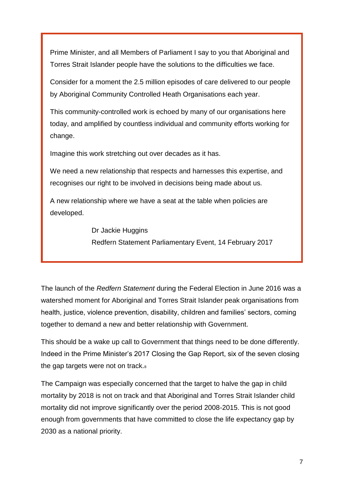Prime Minister, and all Members of Parliament I say to you that Aboriginal and Torres Strait Islander people have the solutions to the difficulties we face.

Consider for a moment the 2.5 million episodes of care delivered to our people by Aboriginal Community Controlled Heath Organisations each year.

This community-controlled work is echoed by many of our organisations here today, and amplified by countless individual and community efforts working for change.

Imagine this work stretching out over decades as it has.

We need a new relationship that respects and harnesses this expertise, and recognises our right to be involved in decisions being made about us.

A new relationship where we have a seat at the table when policies are developed.

> Dr Jackie Huggins Redfern Statement Parliamentary Event, 14 February 2017

The launch of the *Redfern Statement* during the Federal Election in June 2016 was a watershed moment for Aboriginal and Torres Strait Islander peak organisations from health, justice, violence prevention, disability, children and families' sectors, coming together to demand a new and better relationship with Government.

This should be a wake up call to Government that things need to be done differently. Indeed in the Prime Minister's 2017 Closing the Gap Report, six of the seven closing the gap targets were not on track.<sup>8</sup>

The Campaign was especially concerned that the target to halve the gap in child mortality by 2018 is not on track and that Aboriginal and Torres Strait Islander child mortality did not improve significantly over the period 2008-2015. This is not good enough from governments that have committed to close the life expectancy gap by 2030 as a national priority.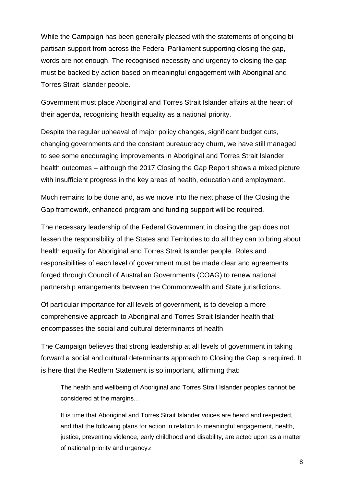While the Campaign has been generally pleased with the statements of ongoing bipartisan support from across the Federal Parliament supporting closing the gap, words are not enough. The recognised necessity and urgency to closing the gap must be backed by action based on meaningful engagement with Aboriginal and Torres Strait Islander people.

Government must place Aboriginal and Torres Strait Islander affairs at the heart of their agenda, recognising health equality as a national priority.

Despite the regular upheaval of major policy changes, significant budget cuts, changing governments and the constant bureaucracy churn, we have still managed to see some encouraging improvements in Aboriginal and Torres Strait Islander health outcomes – although the 2017 Closing the Gap Report shows a mixed picture with insufficient progress in the key areas of health, education and employment.

Much remains to be done and, as we move into the next phase of the Closing the Gap framework, enhanced program and funding support will be required.

The necessary leadership of the Federal Government in closing the gap does not lessen the responsibility of the States and Territories to do all they can to bring about health equality for Aboriginal and Torres Strait Islander people. Roles and responsibilities of each level of government must be made clear and agreements forged through Council of Australian Governments (COAG) to renew national partnership arrangements between the Commonwealth and State jurisdictions.

Of particular importance for all levels of government, is to develop a more comprehensive approach to Aboriginal and Torres Strait Islander health that encompasses the social and cultural determinants of health.

The Campaign believes that strong leadership at all levels of government in taking forward a social and cultural determinants approach to Closing the Gap is required. It is here that the Redfern Statement is so important, affirming that:

The health and wellbeing of Aboriginal and Torres Strait Islander peoples cannot be considered at the margins…

It is time that Aboriginal and Torres Strait Islander voices are heard and respected, and that the following plans for action in relation to meaningful engagement, health, justice, preventing violence, early childhood and disability, are acted upon as a matter of national priority and urgency.9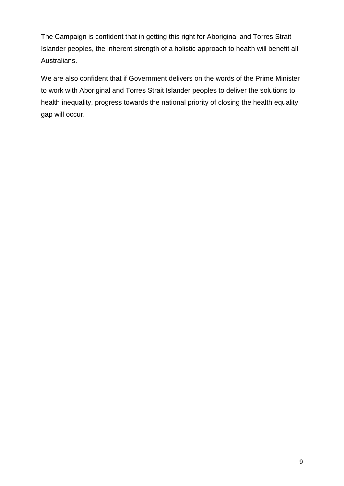The Campaign is confident that in getting this right for Aboriginal and Torres Strait Islander peoples, the inherent strength of a holistic approach to health will benefit all Australians.

We are also confident that if Government delivers on the words of the Prime Minister to work with Aboriginal and Torres Strait Islander peoples to deliver the solutions to health inequality, progress towards the national priority of closing the health equality gap will occur.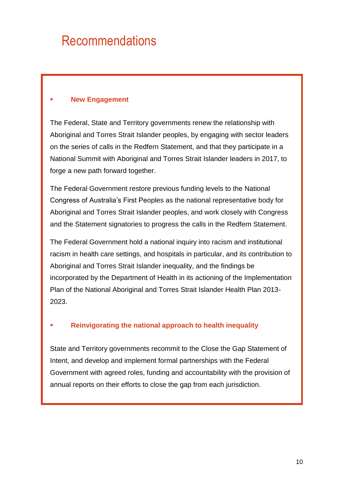# Recommendations

## **New Engagement**

The Federal, State and Territory governments renew the relationship with Aboriginal and Torres Strait Islander peoples, by engaging with sector leaders on the series of calls in the Redfern Statement, and that they participate in a National Summit with Aboriginal and Torres Strait Islander leaders in 2017, to forge a new path forward together.

The Federal Government restore previous funding levels to the National Congress of Australia's First Peoples as the national representative body for Aboriginal and Torres Strait Islander peoples, and work closely with Congress and the Statement signatories to progress the calls in the Redfern Statement.

The Federal Government hold a national inquiry into racism and institutional racism in health care settings, and hospitals in particular, and its contribution to Aboriginal and Torres Strait Islander inequality, and the findings be incorporated by the Department of Health in its actioning of the Implementation Plan of the National Aboriginal and Torres Strait Islander Health Plan 2013- 2023.

# **Reinvigorating the national approach to health inequality**

State and Territory governments recommit to the Close the Gap Statement of Intent, and develop and implement formal partnerships with the Federal Government with agreed roles, funding and accountability with the provision of annual reports on their efforts to close the gap from each jurisdiction.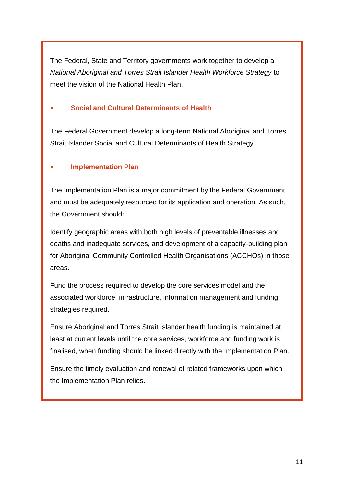The Federal, State and Territory governments work together to develop a *National Aboriginal and Torres Strait Islander Health Workforce Strategy* to meet the vision of the National Health Plan.

### **Social and Cultural Determinants of Health**

The Federal Government develop a long-term National Aboriginal and Torres Strait Islander Social and Cultural Determinants of Health Strategy.

### **Implementation Plan**

The Implementation Plan is a major commitment by the Federal Government and must be adequately resourced for its application and operation. As such, the Government should:

Identify geographic areas with both high levels of preventable illnesses and deaths and inadequate services, and development of a capacity-building plan for Aboriginal Community Controlled Health Organisations (ACCHOs) in those areas.

Fund the process required to develop the core services model and the associated workforce, infrastructure, information management and funding strategies required.

Ensure Aboriginal and Torres Strait Islander health funding is maintained at least at current levels until the core services, workforce and funding work is finalised, when funding should be linked directly with the Implementation Plan.

Ensure the timely evaluation and renewal of related frameworks upon which the Implementation Plan relies.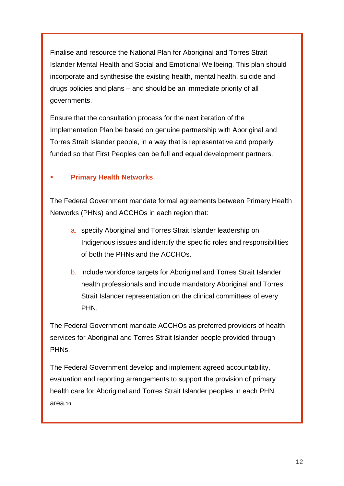Finalise and resource the National Plan for Aboriginal and Torres Strait Islander Mental Health and Social and Emotional Wellbeing. This plan should incorporate and synthesise the existing health, mental health, suicide and drugs policies and plans – and should be an immediate priority of all governments.

Ensure that the consultation process for the next iteration of the Implementation Plan be based on genuine partnership with Aboriginal and Torres Strait Islander people, in a way that is representative and properly funded so that First Peoples can be full and equal development partners.

# **Primary Health Networks**

The Federal Government mandate formal agreements between Primary Health Networks (PHNs) and ACCHOs in each region that:

- a. specify Aboriginal and Torres Strait Islander leadership on Indigenous issues and identify the specific roles and responsibilities of both the PHNs and the ACCHOs.
- b. include workforce targets for Aboriginal and Torres Strait Islander health professionals and include mandatory Aboriginal and Torres Strait Islander representation on the clinical committees of every PHN.

The Federal Government mandate ACCHOs as preferred providers of health services for Aboriginal and Torres Strait Islander people provided through PHNs.

The Federal Government develop and implement agreed accountability, evaluation and reporting arrangements to support the provision of primary health care for Aboriginal and Torres Strait Islander peoples in each PHN area.10